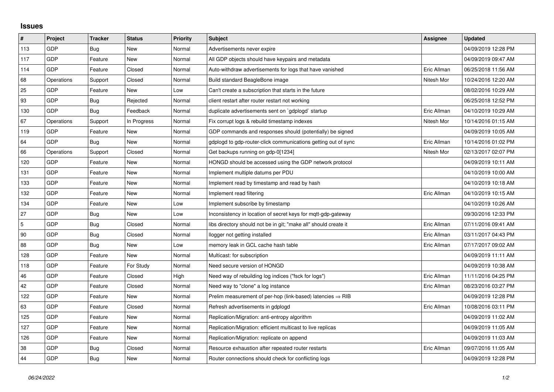## **Issues**

| #   | Project    | <b>Tracker</b> | <b>Status</b> | <b>Priority</b> | <b>Subject</b>                                                         | Assignee    | <b>Updated</b>      |
|-----|------------|----------------|---------------|-----------------|------------------------------------------------------------------------|-------------|---------------------|
| 113 | GDP        | Bug            | <b>New</b>    | Normal          | Advertisements never expire                                            |             | 04/09/2019 12:28 PM |
| 117 | GDP        | Feature        | New           | Normal          | All GDP objects should have keypairs and metadata                      |             | 04/09/2019 09:47 AM |
| 114 | <b>GDP</b> | Feature        | Closed        | Normal          | Auto-withdraw advertisements for logs that have vanished               | Eric Allman | 06/25/2018 11:56 AM |
| 68  | Operations | Support        | Closed        | Normal          | Build standard BeagleBone image                                        | Nitesh Mor  | 10/24/2016 12:20 AM |
| 25  | GDP        | Feature        | New           | Low             | Can't create a subscription that starts in the future                  |             | 08/02/2016 10:29 AM |
| 93  | <b>GDP</b> | <b>Bug</b>     | Rejected      | Normal          | client restart after router restart not working                        |             | 06/25/2018 12:52 PM |
| 130 | GDP        | <b>Bug</b>     | Feedback      | Normal          | duplicate advertisements sent on `gdplogd` startup                     | Eric Allman | 04/10/2019 10:29 AM |
| 67  | Operations | Support        | In Progress   | Normal          | Fix corrupt logs & rebuild timestamp indexes                           | Nitesh Mor  | 10/14/2016 01:15 AM |
| 119 | GDP        | Feature        | <b>New</b>    | Normal          | GDP commands and responses should (potentially) be signed              |             | 04/09/2019 10:05 AM |
| 64  | GDP        | Bug            | <b>New</b>    | Normal          | gdplogd to gdp-router-click communications getting out of sync         | Eric Allman | 10/14/2016 01:02 PM |
| 66  | Operations | Support        | Closed        | Normal          | Get backups running on gdp-0[1234]                                     | Nitesh Mor  | 02/13/2017 02:07 PM |
| 120 | GDP        | Feature        | New           | Normal          | HONGD should be accessed using the GDP network protocol                |             | 04/09/2019 10:11 AM |
| 131 | GDP        | Feature        | New           | Normal          | Implement multiple datums per PDU                                      |             | 04/10/2019 10:00 AM |
| 133 | GDP        | Feature        | New           | Normal          | Implement read by timestamp and read by hash                           |             | 04/10/2019 10:18 AM |
| 132 | GDP        | Feature        | <b>New</b>    | Normal          | Implement read filtering                                               | Eric Allman | 04/10/2019 10:15 AM |
| 134 | GDP        | Feature        | New           | Low             | Implement subscribe by timestamp                                       |             | 04/10/2019 10:26 AM |
| 27  | GDP        | <b>Bug</b>     | New           | Low             | Inconsistency in location of secret keys for mgtt-gdp-gateway          |             | 09/30/2016 12:33 PM |
| 5   | GDP        | Bug            | Closed        | Normal          | libs directory should not be in git; "make all" should create it       | Eric Allman | 07/11/2016 09:41 AM |
| 90  | GDP        | <b>Bug</b>     | Closed        | Normal          | llogger not getting installed                                          | Eric Allman | 03/11/2017 04:43 PM |
| 88  | GDP        | Bug            | New           | Low             | memory leak in GCL cache hash table                                    | Eric Allman | 07/17/2017 09:02 AM |
| 128 | GDP        | Feature        | New           | Normal          | Multicast: for subscription                                            |             | 04/09/2019 11:11 AM |
| 118 | GDP        | Feature        | For Study     | Normal          | Need secure version of HONGD                                           |             | 04/09/2019 10:38 AM |
| 46  | GDP        | Feature        | Closed        | High            | Need way of rebuilding log indices ("fsck for logs")                   | Eric Allman | 11/11/2016 04:25 PM |
| 42  | GDP        | Feature        | Closed        | Normal          | Need way to "clone" a log instance                                     | Eric Allman | 08/23/2016 03:27 PM |
| 122 | GDP        | Feature        | New           | Normal          | Prelim measurement of per-hop (link-based) latencies $\Rightarrow$ RIB |             | 04/09/2019 12:28 PM |
| 63  | GDP        | Feature        | Closed        | Normal          | Refresh advertisements in gdplogd                                      | Eric Allman | 10/08/2016 03:11 PM |
| 125 | GDP        | Feature        | New           | Normal          | Replication/Migration: anti-entropy algorithm                          |             | 04/09/2019 11:02 AM |
| 127 | GDP        | Feature        | New           | Normal          | Replication/Migration: efficient multicast to live replicas            |             | 04/09/2019 11:05 AM |
| 126 | GDP        | Feature        | New           | Normal          | Replication/Migration: replicate on append                             |             | 04/09/2019 11:03 AM |
| 38  | GDP        | Bug            | Closed        | Normal          | Resource exhaustion after repeated router restarts                     | Eric Allman | 09/07/2016 11:05 AM |
| 44  | GDP        | <b>Bug</b>     | New           | Normal          | Router connections should check for conflicting logs                   |             | 04/09/2019 12:28 PM |